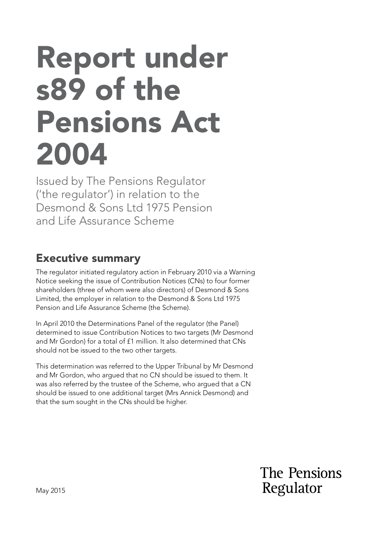# Report under s89 of the Pensions Act 2004

Issued by The Pensions Regulator ('the regulator') in relation to the Desmond & Sons Ltd 1975 Pension and Life Assurance Scheme

#### Executive summary

The regulator initiated regulatory action in February 2010 via a Warning Notice seeking the issue of Contribution Notices (CNs) to four former shareholders (three of whom were also directors) of Desmond & Sons Limited, the employer in relation to the Desmond & Sons Ltd 1975 Pension and Life Assurance Scheme (the Scheme).

In April 2010 the Determinations Panel of the regulator (the Panel) determined to issue Contribution Notices to two targets (Mr Desmond and Mr Gordon) for a total of £1 million. It also determined that CNs should not be issued to the two other targets.

This determination was referred to the Upper Tribunal by Mr Desmond and Mr Gordon, who argued that no CN should be issued to them. It was also referred by the trustee of the Scheme, who argued that a CN should be issued to one additional target (Mrs Annick Desmond) and that the sum sought in the CNs should be higher.

> The Pensions Regulator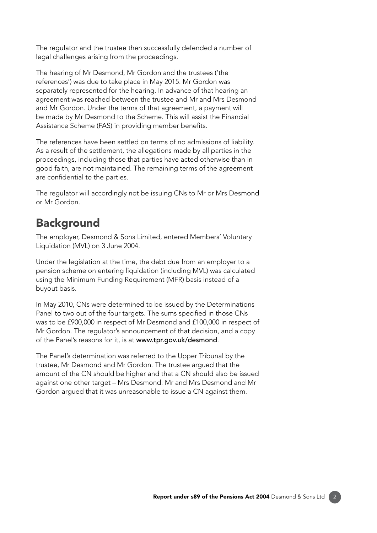The regulator and the trustee then successfully defended a number of legal challenges arising from the proceedings.

The hearing of Mr Desmond, Mr Gordon and the trustees ('the references') was due to take place in May 2015. Mr Gordon was separately represented for the hearing. In advance of that hearing an agreement was reached between the trustee and Mr and Mrs Desmond and Mr Gordon. Under the terms of that agreement, a payment will be made by Mr Desmond to the Scheme. This will assist the Financial Assistance Scheme (FAS) in providing member benefits.

The references have been settled on terms of no admissions of liability. As a result of the settlement, the allegations made by all parties in the proceedings, including those that parties have acted otherwise than in good faith, are not maintained. The remaining terms of the agreement are confidential to the parties.

The regulator will accordingly not be issuing CNs to Mr or Mrs Desmond or Mr Gordon.

## Background

The employer, Desmond & Sons Limited, entered Members' Voluntary Liquidation (MVL) on 3 June 2004.

Under the legislation at the time, the debt due from an employer to a pension scheme on entering liquidation (including MVL) was calculated using the Minimum Funding Requirement (MFR) basis instead of a buyout basis.

In May 2010, CNs were determined to be issued by the Determinations Panel to two out of the four targets. The sums specifed in those CNs was to be £900,000 in respect of Mr Desmond and £100,000 in respect of Mr Gordon. The regulator's announcement of that decision, and a copy of the Panel's reasons for it, is at www.tpr.gov.uk/desmond.

The Panel's determination was referred to the Upper Tribunal by the trustee, Mr Desmond and Mr Gordon. The trustee argued that the amount of the CN should be higher and that a CN should also be issued against one other target – Mrs Desmond. Mr and Mrs Desmond and Mr Gordon argued that it was unreasonable to issue a CN against them.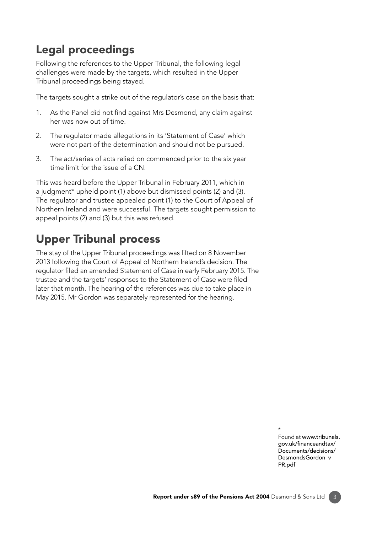# Legal proceedings

Following the references to the Upper Tribunal, the following legal challenges were made by the targets, which resulted in the Upper Tribunal proceedings being stayed.

The targets sought a strike out of the regulator's case on the basis that:

- 1. As the Panel did not find against Mrs Desmond, any claim against her was now out of time.
- 2. The regulator made allegations in its 'Statement of Case' which were not part of the determination and should not be pursued.
- 3. The act/series of acts relied on commenced prior to the six year time limit for the issue of a CN.

This was heard before the Upper Tribunal in February 2011, which in a judgment\* upheld point (1) above but dismissed points (2) and (3). The regulator and trustee appealed point (1) to the Court of Appeal of Northern Ireland and were successful. The targets sought permission to appeal points (2) and (3) but this was refused.

## Upper Tribunal process

The stay of the Upper Tribunal proceedings was lifted on 8 November 2013 following the Court of Appeal of Northern Ireland's decision. The regulator fled an amended Statement of Case in early February 2015. The trustee and the targets' responses to the Statement of Case were fled later that month. The hearing of the references was due to take place in May 2015. Mr Gordon was separately represented for the hearing.

> \* Found at www.tribunals. gov.uk/fnanceandtax/ [Documents/decisions/](https://assets.publishing.service.gov.uk/media/575be00940f0b66bda000016/Desmonds_Gordon_v_The_Pensions_Regulator.pdf) DesmondsGordon\_v\_ PR.pdf